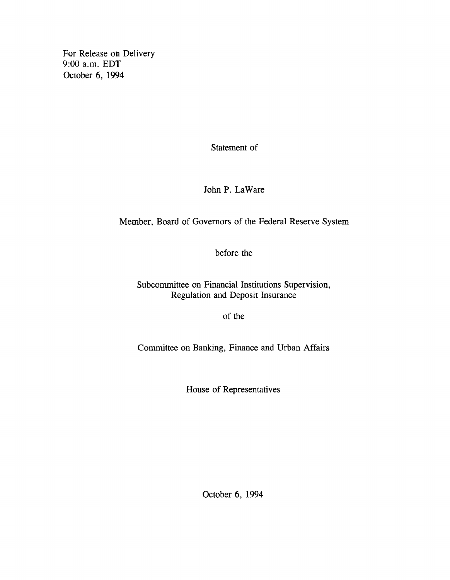**For Release on Delivery 9:00 a.m. EDT October 6, 1994**

**Statement of**

**John P. LaWare**

**Member, Board of Governors of the Federal Reserve System**

**before the**

**Subcommittee on Financial Institutions Supervision, Regulation and Deposit Insurance**

**of the**

**Committee on Banking, Finance and Urban Affairs**

**House of Representatives**

**October 6, 1994**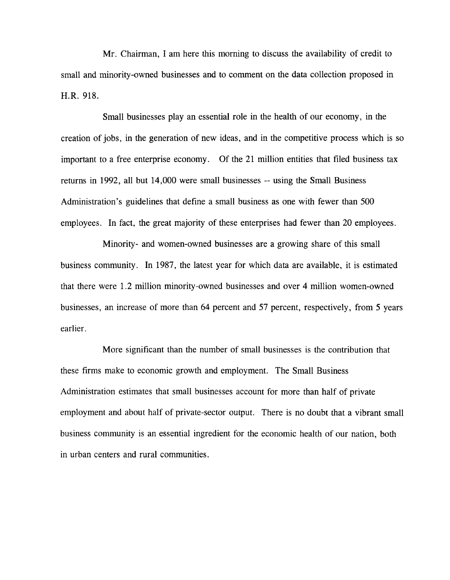**Mr. Chairman, I am here this morning to discuss the availability of credit to small and minority-owned businesses and to comment on the data collection proposed in H.R. 918.**

**Small businesses play an essential role in the health of our economy, in the creation of jobs, in the generation of new ideas, and in the competitive process which is so important to a free enterprise economy. Of the 21 million entities that filed business tax returns in 1992, all but 14,000 were small businesses — using the Small Business Administration's guidelines that define a small business as one with fewer than 500 employees. In fact, the great majority of these enterprises had fewer than 20 employees.**

**Minority- and women-owned businesses are a growing share of this small business community. In 1987, the latest year for which data are available, it is estimated that there were 1.2 million minority-owned businesses and over 4 million women-owned businesses, an increase of more than 64 percent and 57 percent, respectively, from 5 years earlier.**

**More significant than the number of small businesses is the contribution that these firms make to economic growth and employment. The Small Business Administration estimates that small businesses account for more than half of private employment and about half of private-sector output. There is no doubt that a vibrant small business community is an essential ingredient for the economic health of our nation, both in urban centers and rural communities.**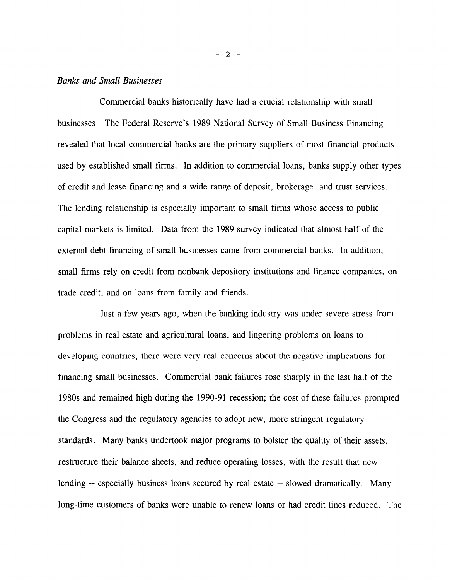# *Banks and Small Businesses*

**Commercial banks historically have had a crucial relationship with small businesses. The Federal Reserve's 1989 National Survey of Small Business Financing revealed that local commercial banks are the primary suppliers of most financial products used by established small firms. In addition to commercial loans, banks supply other types of credit and lease financing and a wide range of deposit, brokerage and trust services. The lending relationship is especially important to small firms whose access to public capital markets is limited. Data from the 1989 survey indicated that almost half of the external debt financing of small businesses came from commercial banks. In addition, small firms rely on credit from nonbank depository institutions and finance companies, on trade credit, and on loans from family and friends.**

**Just a few years ago, when the banking industry was under severe stress from problems in real estate and agricultural loans, and lingering problems on loans to developing countries, there were very real concerns about the negative implications for financing small businesses. Commercial bank failures rose sharply in the last half of the 1980s and remained high during the 1990-91 recession; the cost of these failures prompted the Congress and the regulatory agencies to adopt new, more stringent regulatory standards. Many banks undertook major programs to bolster the quality of their assets, restructure their balance sheets, and reduce operating losses, with the result that new** lending -- especially business loans secured by real estate -- slowed dramatically. Many **long-time customers of banks were unable to renew loans or had credit lines reduced. The**

- 2 -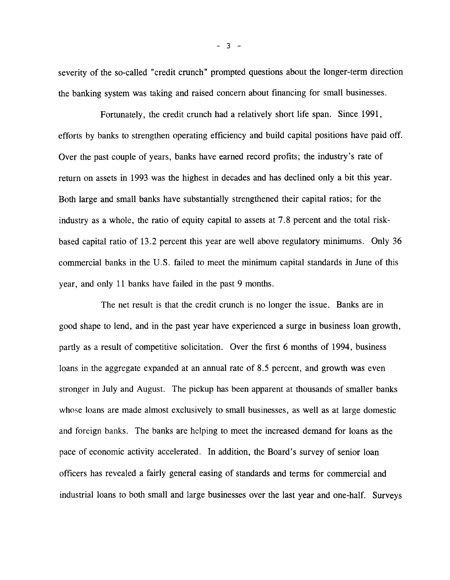**severity of the so-called "credit crunch" prompted questions about the longer-term direction the banking system was taking and raised concern about financing for small businesses.**

**Fortunately, the credit crunch had a relatively short life span. Since 1991, efforts by banks to strengthen operating efficiency and build capital positions have paid off. Over the past couple of years, banks have earned record profits; the industry's rate of return on assets in 1993 was the highest in decades and has declined only a bit this year. Both large and small banks have substantially strengthened their capital ratios; for the industry as a whole, the ratio of equity capital to assets at 7.8 percent and the total riskbased capital ratio of 13.2 percent this year are well above regulatory minimums. Only 36 commercial banks in the U.S. failed to meet the minimum capital standards in June of this year, and only 11 banks have failed in the past 9 months.**

**The net result is that the credit crunch is no longer the issue. Banks are in good shape to lend, and in the past year have experienced a surge in business loan growth, partly as a result of competitive solicitation. Over the first 6 months of 1994, business loans in the aggregate expanded at an annual rate of 8.5 percent, and growth was even stronger in July and August. The pickup has been apparent at thousands of smaller banks whose loans are made almost exclusively to small businesses, as well as at large domestic and foreign banks. The banks are helping to meet the increased demand for loans as the pace of economic activity accelerated. In addition, the Board's survey of senior loan officers has revealed a fairly general easing of standards and terms for commercial and industrial loans to both small and large businesses over the last year and one-half. Surveys**

**- 3 -**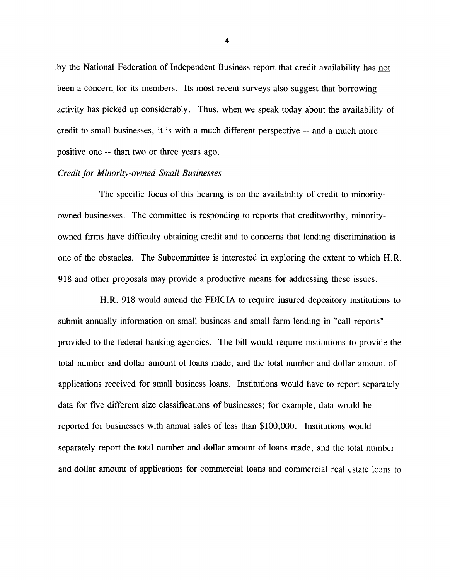**by the National Federation of Independent Business report that credit availability has not been a concern for its members. Its most recent surveys also suggest that borrowing activity has picked up considerably. Thus, when we speak today about the availability of credit to small businesses, it is with a much different perspective — and a much more positive one — than two or three years ago.**

# *Credit for Minority-owned Small Businesses*

**The specific focus of this hearing is on the availability of credit to minorityowned businesses. The committee is responding to reports that creditworthy, minorityowned firms have difficulty obtaining credit and to concerns that lending discrimination is one of the obstacles. The Subcommittee is interested in exploring the extent to which H.R. 918 and other proposals may provide a productive means for addressing these issues.**

**H.R. 918 would amend the FDICIA to require insured depository institutions to submit annually information on small business and small farm lending in "call reports" provided to the federal banking agencies. The bill would require institutions to provide the total number and dollar amount of loans made, and the total number and dollar amount of applications received for small business loans. Institutions would have to report separately data for five different size classifications of businesses; for example, data would be reported for businesses with annual sales of less than \$100,000. Institutions would separately report the total number and dollar amount of loans made, and the total number and dollar amount of applications for commercial loans and commercial real estate loans to**

**- 4 -**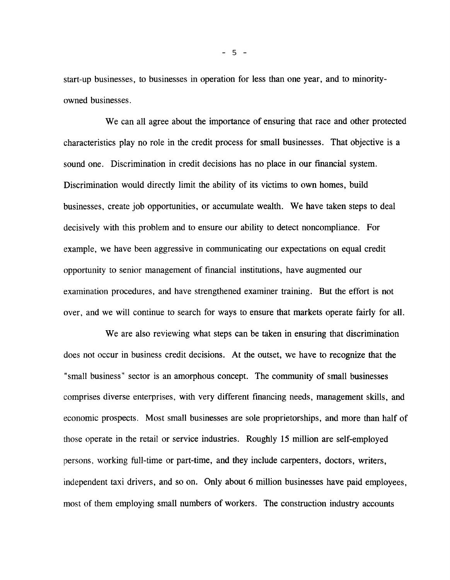**start-up businesses, to businesses in operation for less than one year, and to minorityowned businesses.**

**We can all agree about the importance of ensuring that race and other protected characteristics play no role in the credit process for small businesses. That objective is a sound one. Discrimination in credit decisions has no place in our financial system. Discrimination would directly limit the ability of its victims to own homes, build businesses, create job opportunities, or accumulate wealth. We have taken steps to deal decisively with this problem and to ensure our ability to detect noncompliance. For example, we have been aggressive in communicating our expectations on equal credit opportunity to senior management of financial institutions, have augmented our examination procedures, and have strengthened examiner training. But the effort is not over, and we will continue to search for ways to ensure that markets operate fairly for all.**

**We are also reviewing what steps can be taken in ensuring that discrimination does not occur in business credit decisions. At the outset, we have to recognize that the "small business" sector is an amorphous concept. The community of small businesses comprises diverse enterprises, with very different financing needs, management skills, and economic prospects. Most small businesses are sole proprietorships, and more than half of those operate in the retail or service industries. Roughly 15 million are self-employed persons, working full-time or part-time, and they include carpenters, doctors, writers, independent taxi drivers, and so on. Only about 6 million businesses have paid employees, most of them employing small numbers of workers. The construction industry accounts**

**- 5 -**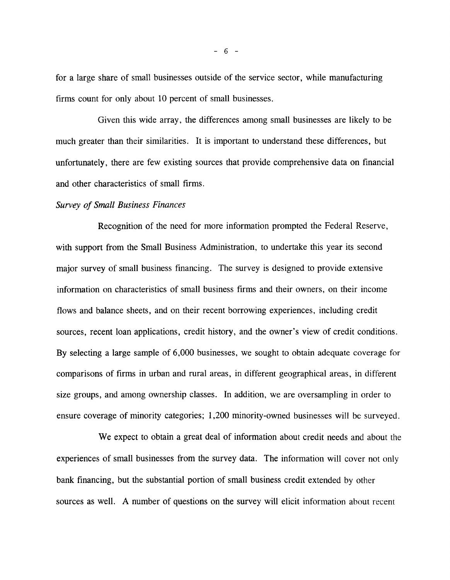**for a large share of small businesses outside of the service sector, while manufacturing firms count for only about 10 percent of small businesses.**

**Given this wide array, the differences among small businesses are likely to be much greater than their similarities. It is important to understand these differences, but unfortunately, there are few existing sources that provide comprehensive data on financial and other characteristics of small firms.**

#### *Survey of Small Business Finances*

**Recognition of the need for more information prompted the Federal Reserve, with support from the Small Business Administration, to undertake this year its second major survey of small business financing. The survey is designed to provide extensive information on characteristics of small business firms and their owners, on their income flows and balance sheets, and on their recent borrowing experiences, including credit sources, recent loan applications, credit history, and the owner's view of credit conditions. By selecting a large sample of 6,000 businesses, we sought to obtain adequate coverage for comparisons of firms in urban and rural areas, in different geographical areas, in different size groups, and among ownership classes. In addition, we are oversampling in order to ensure coverage of minority categories; 1,200 minority-owned businesses will be surveyed.**

**We expect to obtain a great deal of information about credit needs and about the experiences of small businesses from the survey data. The information will cover not only bank financing, but the substantial portion of small business credit extended by other sources as well. A number of questions on the survey will elicit information about recent**

**- 6 -**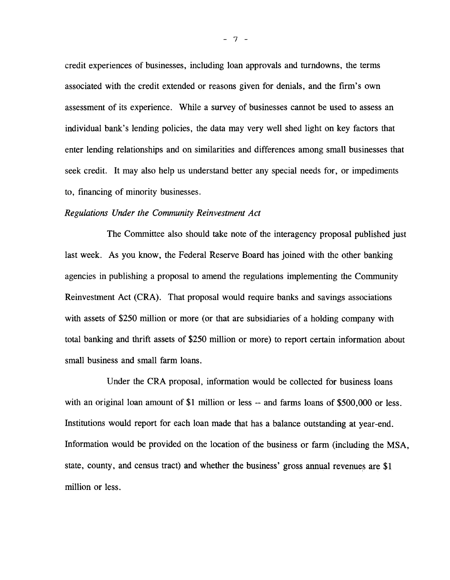**credit experiences of businesses, including loan approvals and turndowns, the terms associated with the credit extended or reasons given for denials, and the firm's own assessment of its experience. While a survey of businesses cannot be used to assess an individual bank's lending policies, the data may very well shed light on key factors that enter lending relationships and on similarities and differences among small businesses that seek credit. It may also help us understand better any special needs for, or impediments to, financing of minority businesses.**

#### *Regulations Under the Community Reinvestment Act*

**The Committee also should take note of the interagency proposal published just last week. As you know, the Federal Reserve Board has joined with the other banking agencies in publishing a proposal to amend the regulations implementing the Community Reinvestment Act (CRA). That proposal would require banks and savings associations with assets of \$250 million or more (or that are subsidiaries of a holding company with total banking and thrift assets of \$250 million or more) to report certain information about small business and small farm loans.**

**Under the CRA proposal, information would be collected for business loans** with an original loan amount of \$1 million or less -- and farms loans of \$500,000 or less. **Institutions would report for each loan made that has a balance outstanding at year-end. Information would be provided on the location of the business or farm (including the MSA, state, county, and census tract) and whether the business' gross annual revenues are \$1 million or less.**

**- 7 -**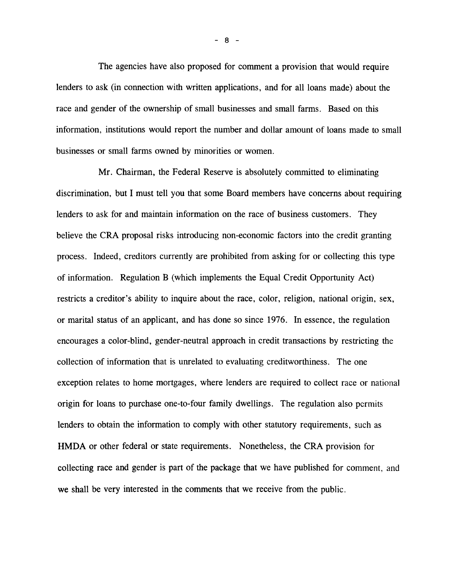**The agencies have also proposed for comment a provision that would require lenders to ask (in connection with written applications, and for all loans made) about the race and gender of the ownership of small businesses and small farms. Based on this information, institutions would report the number and dollar amount of loans made to small businesses or small farms owned by minorities or women.**

**Mr. Chairman, the Federal Reserve is absolutely committed to eliminating discrimination, but I must tell you that some Board members have concerns about requiring lenders to ask for and maintain information on the race of business customers. They believe the CRA proposal risks introducing non-economic factors into the credit granting process. Indeed, creditors currently are prohibited from asking for or collecting this type of information. Regulation B (which implements the Equal Credit Opportunity Act) restricts a creditor's ability to inquire about the race, color, religion, national origin, sex, or marital status of an applicant, and has done so since 1976. In essence, the regulation encourages a color-blind, gender-neutral approach in credit transactions by restricting the collection of information that is unrelated to evaluating creditworthiness. The one exception relates to home mortgages, where lenders are required to collect race or national origin for loans to purchase one-to-four family dwellings. The regulation also permits lenders to obtain the information to comply with other statutory requirements, such as HMDA or other federal or state requirements. Nonetheless, the CRA provision for collecting race and gender is part of the package that we have published for comment, and we shall be very interested in the comments that we receive from the public.**

**- 8 -**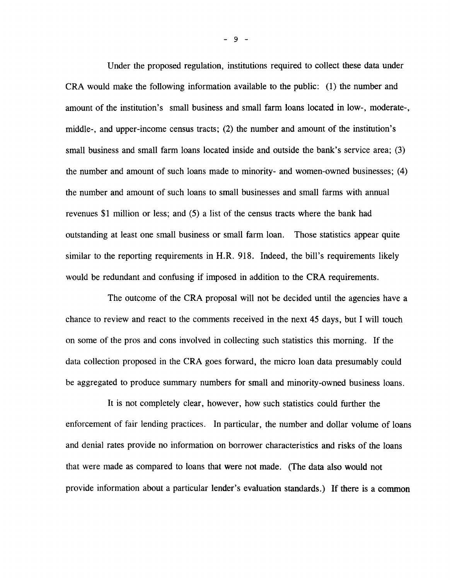**Under the proposed regulation, institutions required to collect these data under CRA would make the following information available to the public: (1) the number and amount of the institution's small business and small farm loans located in low-, moderate-, middle-, and upper-income census tracts; (2) the number and amount of the institution's small business and small farm loans located inside and outside the bank's service area; (3) the number and amount of such loans made to minority- and women-owned businesses; (4) the number and amount of such loans to small businesses and small farms with annual revenues \$1 million or less; and (5) a list of the census tracts where the bank had outstanding at least one small business or small farm loan. Those statistics appear quite similar to the reporting requirements in H.R. 918. Indeed, the bill's requirements likely would be redundant and confusing if imposed in addition to the CRA requirements.**

**The outcome of the CRA proposal will not be decided until the agencies have a chance to review and react to the comments received in the next 45 days, but I will touch on some of the pros and cons involved in collecting such statistics this morning. If the data collection proposed in the CRA goes forward, the micro loan data presumably could be aggregated to produce summary numbers for small and minority-owned business loans.**

**It is not completely clear, however, how such statistics could further the enforcement of fair lending practices. In particular, the number and dollar volume of loans and denial rates provide no information on borrower characteristics and risks of the loans that were made as compared to loans that were not made. (The data also would not provide information about a particular lender's evaluation standards.) If there is a common**

**- 9 -**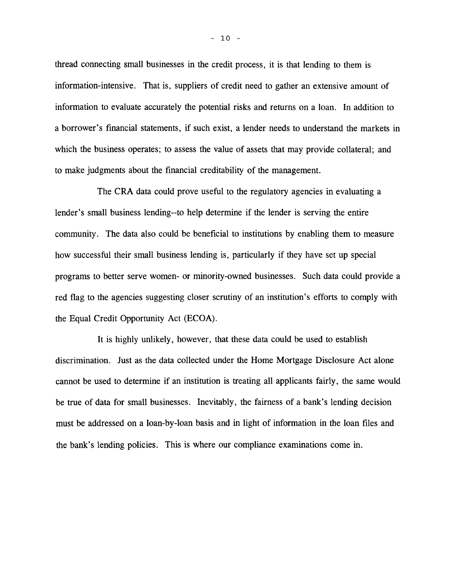**thread connecting small businesses in the credit process, it is that lending to them is information-intensive. That is, suppliers of credit need to gather an extensive amount of information to evaluate accurately the potential risks and returns on a loan. In addition to a borrower's financial statements, if such exist, a lender needs to understand the markets in which the business operates; to assess the value of assets that may provide collateral; and** to make judgments about the financial creditability of the management.

**The CRA data could prove useful to the regulatory agencies in evaluating a lender's small business lending—to help determine if the lender is serving the entire community. The data also could be beneficial to institutions by enabling them to measure how successful their small business lending is, particularly if they have set up special programs to better serve women- or minority-owned businesses. Such data could provide a red flag to the agencies suggesting closer scrutiny of an institution's efforts to comply with the Equal Credit Opportunity Act (ECOA).**

**It is highly unlikely, however, that these data could be used to establish discrimination. Just as the data collected under the Home Mortgage Disclosure Act alone cannot be used to determine if an institution is treating all applicants fairly, the same would be true of data for small businesses. Inevitably, the fairness of a bank's lending decision must be addressed on a loan-by-loan basis and in light of information in the loan files and the bank's lending policies. This is where our compliance examinations come in.**

 $- 10 -$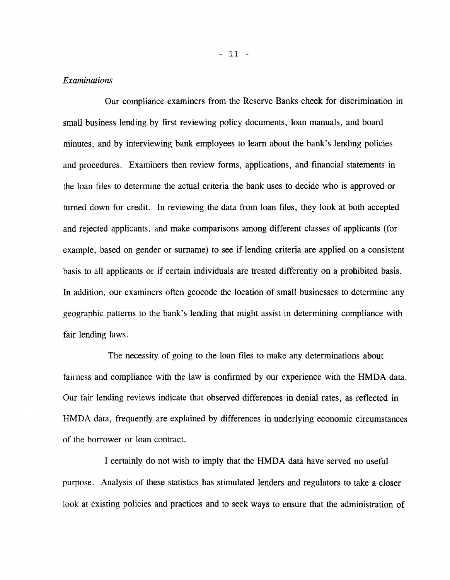## *Examinations*

**Our compliance examiners from the Reserve Banks check for discrimination in small business lending by first reviewing policy documents, loan manuals, and board minutes, and by interviewing bank employees to learn about the bank's lending policies and procedures. Examiners then review forms, applications, and financial statements in the loan files to determine the actual criteria the bank uses to decide who is approved or turned down for credit. In reviewing the data from loan files, they look at both accepted and rejected applicants, and make comparisons among different classes of applicants (for example, based on gender or surname) to see if lending criteria are applied on a consistent basis to all applicants or if certain individuals are treated differently on a prohibited basis. In addition, our examiners often geocode the location of small businesses to determine any geographic patterns to the bank's lending that might assist in determining compliance with fair lending laws.**

**The necessity of going to the loan files to make any determinations about fairness and compliance with the law is confirmed by our experience with the HMDA data. Our fair lending reviews indicate that observed differences in denial rates, as reflected in HMDA data, frequently are explained by differences in underlying economic circumstances of the borrower or loan contract.**

**I certainly do not wish to imply that the HMDA data have served no useful purpose. Analysis of these statistics has stimulated lenders and regulators to take a closer look at existing policies and practices and to seek ways to ensure that the administration of**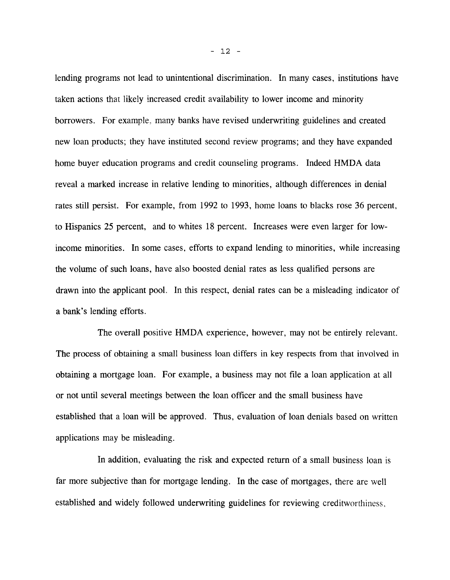**lending programs not lead to unintentional discrimination. In many cases, institutions have taken actions that likely increased credit availability to lower income and minority borrowers. For example, many banks have revised underwriting guidelines and created new loan products; they have instituted second review programs; and they have expanded** home buyer education programs and credit counseling programs. Indeed HMDA data **reveal a marked increase in relative lending to minorities, although differences in denial rates still persist. For example, from 1992 to 1993, home loans to blacks rose 36 percent, to Hispanics 25 percent, and to whites 18 percent. Increases were even larger for lowincome minorities. In some cases, efforts to expand lending to minorities, while increasing the volume of such loans, have also boosted denial rates as less qualified persons are drawn into the applicant pool. In this respect, denial rates can be a misleading indicator of a bank's lending efforts.**

**The overall positive HMDA experience, however, may not be entirely relevant. The process of obtaining a small business loan differs in key respects from that involved in obtaining a mortgage loan. For example, a business may not file a loan application at all or not until several meetings between the loan officer and the small business have established that a loan will be approved. Thus, evaluation of loan denials based on written applications may be misleading.**

**In addition, evaluating the risk and expected return of a small business loan is far more subjective than for mortgage lending. In the case of mortgages, there are well established and widely followed underwriting guidelines for reviewing creditworthiness,**

- 12 -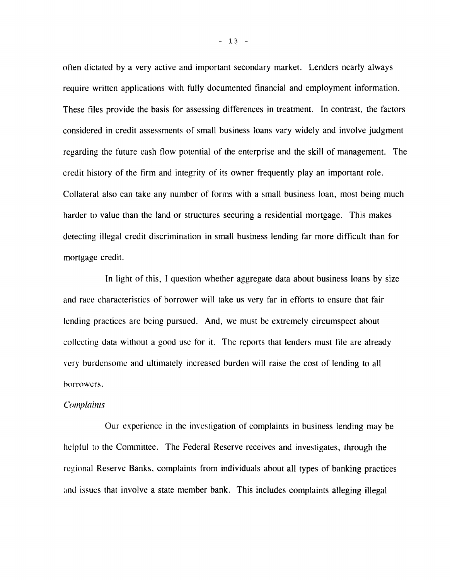**often dictated by a very active and important secondary market. Lenders nearly always require written applications with fully documented financial and employment information. These files provide the basis for assessing differences in treatment. In contrast, the factors considered in credit assessments of small business loans vary widely and involve judgment regarding the future cash flow potential of the enterprise and the skill of management. The credit history of the firm and integrity of its owner frequently play an important role. Collateral also can take any number of forms with a small business loan, most being much harder to value than the land or structures securing a residential mortgage. This makes detecting illegal credit discrimination in small business lending far more difficult than for mortgage credit.**

**In light of this, I question whether aggregate data about business loans by size and race characteristics of borrower will take us very far in efforts to ensure that fair lending practices are being pursued. And, we must be extremely circumspect about collecting data without a good use for it. The reports that lenders must file are already very burdensome and ultimately increased burden will raise the cost of lending to all borrowers.**

#### *Complaints*

**Our experience in the investigation of complaints in business lending may be helpful to the Committee. The Federal Reserve receives and investigates, through the regional Reserve Banks, complaints from individuals about all types of banking practices and issues that involve a state member bank. This includes complaints alleging illegal**

 $- 13 -$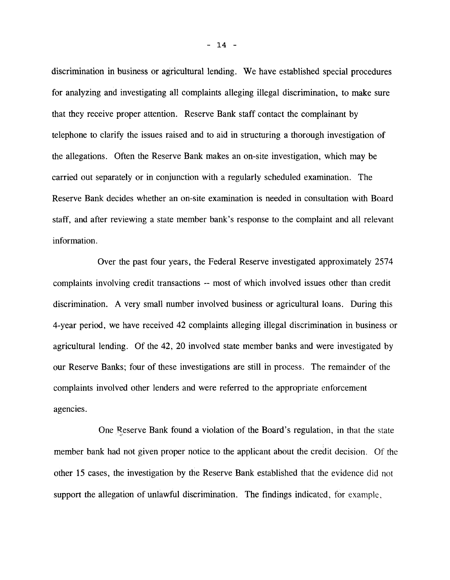**discrimination in business or agricultural lending. We have established special procedures for analyzing and investigating all complaints alleging illegal discrimination, to make sure that they receive proper attention. Reserve Bank staff contact the complainant by telephone to clarify the issues raised and to aid in structuring a thorough investigation of the allegations. Often the Reserve Bank makes an on-site investigation, which may be carried out separately or in conjunction with a regularly scheduled examination. The Reserve Bank decides whether an on-site examination is needed in consultation with Board staff, and after reviewing a state member bank's response to the complaint and all relevant information.**

**Over the past four years, the Federal Reserve investigated approximately 2574 complaints involving credit transactions — most of which involved issues other than credit discrimination. A very small number involved business or agricultural loans. During this 4-year period, we have received 42 complaints alleging illegal discrimination in business or agricultural lending. Of the 42, 20 involved state member banks and were investigated by our Reserve Banks; four of these investigations are still in process. The remainder of the complaints involved other lenders and were referred to the appropriate enforcement agencies.**

One Reserve Bank found a violation of the Board's regulation, in that the state **member bank had not given proper notice to the applicant about the credit decision. Of the other 15 cases, the investigation by the Reserve Bank established that the evidence did not support the allegation of unlawful discrimination. The Findings indicated, for example.**

 $- 14 -$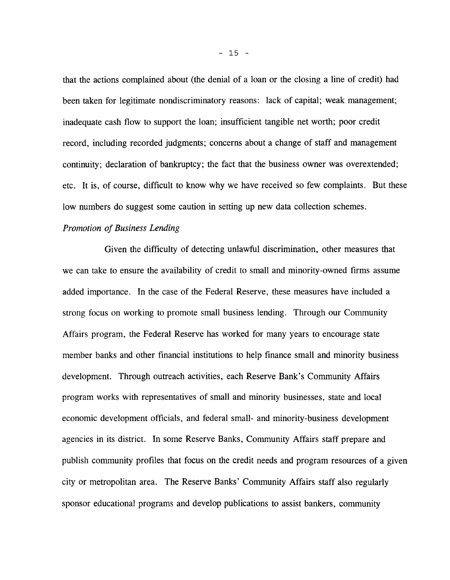**that the actions complained about (the denial of a loan or the closing a line of credit) had been taken for legitimate nondiscriminatory reasons: lack of capital; weak management; inadequate cash flow to support the loan; insufficient tangible net worth; poor credit record, including recorded judgments; concerns about a change of staff and management continuity; declaration of bankruptcy; the fact that the business owner was overextended; etc. It is, of course, difficult to know why we have received so few complaints. But these low numbers do suggest some caution in setting up new data collection schemes.**

## *Promotion of Business Lending*

**Given the difficulty of detecting unlawful discrimination, other measures that we can take to ensure the availability of credit to small and minority-owned firms assume added importance. In the case of the Federal Reserve, these measures have included a strong focus on working to promote small business lending. Through our Community Affairs program, the Federal Reserve has worked for many years to encourage state member banks and other financial institutions to help finance small and minority business development. Through outreach activities, each Reserve Bank's Community Affairs program works with representatives of small and minority businesses, state and local economic development officials, and federal small- and minority-business development agencies in its district. In some Reserve Banks, Community Affairs staff prepare and publish community profiles that focus on the credit needs and program resources of a given city or metropolitan area. The Reserve Banks' Community Affairs staff also regularly sponsor educational programs and develop publications to assist bankers, community**

**- 15 -**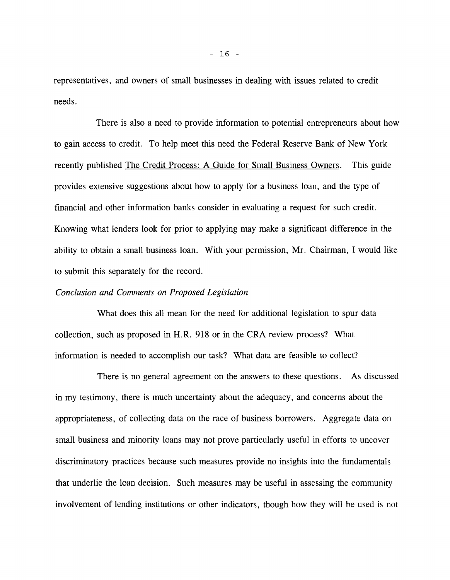**representatives, and owners of small businesses in dealing with issues related to credit needs.**

**There is also a need to provide information to potential entrepreneurs about how to gain access to credit. To help meet this need the Federal Reserve Bank of New York recently published The Credit Process: A Guide for Small Business Owners. This guide provides extensive suggestions about how to apply for a business loan, and the type of financial and other information banks consider in evaluating a request for such credit. Knowing what lenders look for prior to applying may make a significant difference in the ability to obtain a small business loan. With your permission, Mr. Chairman, I would like to submit this separately for the record.**

## *Conclusion and Comments on Proposed Legislation*

**What does this all mean for the need for additional legislation to spur data collection, such as proposed in H.R. 918 or in the CRA review process? What information is needed to accomplish our task? What data are feasible to collect?**

**There is no general agreement on the answers to these questions. As discussed in my testimony, there is much uncertainty about the adequacy, and concerns about the appropriateness, of collecting data on the race of business borrowers. Aggregate data on small business and minority loans may not prove particularly useful in efforts to uncover discriminatory practices because such measures provide no insights into the fundamentals that underlie the loan decision. Such measures may be useful in assessing the community involvement of lending institutions or other indicators, though how they will be used is not**